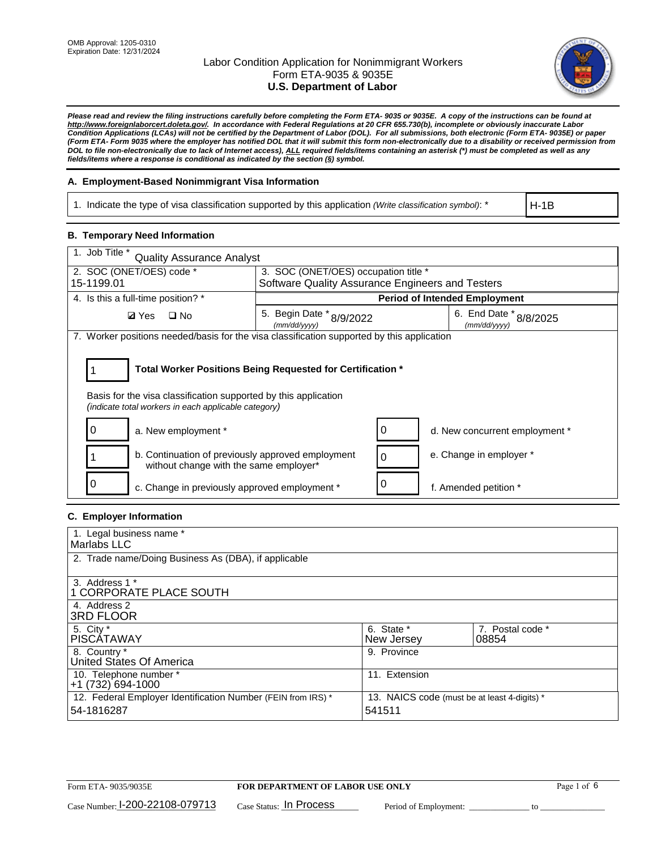

*Please read and review the filing instructions carefully before completing the Form ETA- 9035 or 9035E. A copy of the instructions can be found at http://www.foreignlaborcert.doleta.gov/. In accordance with Federal Regulations at 20 CFR 655.730(b), incomplete or obviously inaccurate Labor Condition Applications (LCAs) will not be certified by the Department of Labor (DOL). For all submissions, both electronic (Form ETA- 9035E) or paper (Form ETA- Form 9035 where the employer has notified DOL that it will submit this form non-electronically due to a disability or received permission from DOL to file non-electronically due to lack of Internet access), ALL required fields/items containing an asterisk (\*) must be completed as well as any fields/items where a response is conditional as indicated by the section (§) symbol.* 

### **A. Employment-Based Nonimmigrant Visa Information**

1. Indicate the type of visa classification supported by this application *(Write classification symbol)*: \*

H-1B

#### **B. Temporary Need Information**

| 1. Job Title *<br><b>Quality Assurance Analyst</b>                                                                      |                                                                                          |                                        |  |  |  |
|-------------------------------------------------------------------------------------------------------------------------|------------------------------------------------------------------------------------------|----------------------------------------|--|--|--|
| 2. SOC (ONET/OES) code *<br>15-1199.01                                                                                  | 3. SOC (ONET/OES) occupation title *<br>Software Quality Assurance Engineers and Testers |                                        |  |  |  |
|                                                                                                                         |                                                                                          |                                        |  |  |  |
| 4. Is this a full-time position? *                                                                                      | <b>Period of Intended Employment</b>                                                     |                                        |  |  |  |
| $\Box$ No<br><b>Ø</b> Yes                                                                                               | 5. Begin Date * 8/9/2022<br>(mm/dd/yyyy)                                                 | 6. End Date * 8/8/2025<br>(mm/dd/yyyy) |  |  |  |
| 7. Worker positions needed/basis for the visa classification supported by this application                              |                                                                                          |                                        |  |  |  |
| Basis for the visa classification supported by this application<br>(indicate total workers in each applicable category) | Total Worker Positions Being Requested for Certification *                               |                                        |  |  |  |
| a. New employment *                                                                                                     | 0                                                                                        | d. New concurrent employment *         |  |  |  |
| b. Continuation of previously approved employment<br>without change with the same employer*                             | 0                                                                                        | e. Change in employer *                |  |  |  |
| c. Change in previously approved employment *                                                                           | $\Omega$                                                                                 | f. Amended petition *                  |  |  |  |

### **C. Employer Information**

| 1. Legal business name *                                     |                                              |                  |
|--------------------------------------------------------------|----------------------------------------------|------------------|
| Marlabs LLC                                                  |                                              |                  |
| 2. Trade name/Doing Business As (DBA), if applicable         |                                              |                  |
|                                                              |                                              |                  |
| 3. Address 1 *                                               |                                              |                  |
| 1 CORPORATE PLACE SOUTH                                      |                                              |                  |
| 4. Address 2                                                 |                                              |                  |
| <b>3RD FLOOR</b>                                             |                                              |                  |
| 5. City *                                                    | 6. State *                                   | 7. Postal code * |
| PISCÁTAWAY                                                   | New Jersey                                   | 08854            |
| 8. Country *                                                 | 9. Province                                  |                  |
| United States Of America                                     |                                              |                  |
| 10. Telephone number *                                       | 11. Extension                                |                  |
| $+1(732)694-1000$                                            |                                              |                  |
| 12. Federal Employer Identification Number (FEIN from IRS) * | 13. NAICS code (must be at least 4-digits) * |                  |
| 54-1816287                                                   | 541511                                       |                  |
|                                                              |                                              |                  |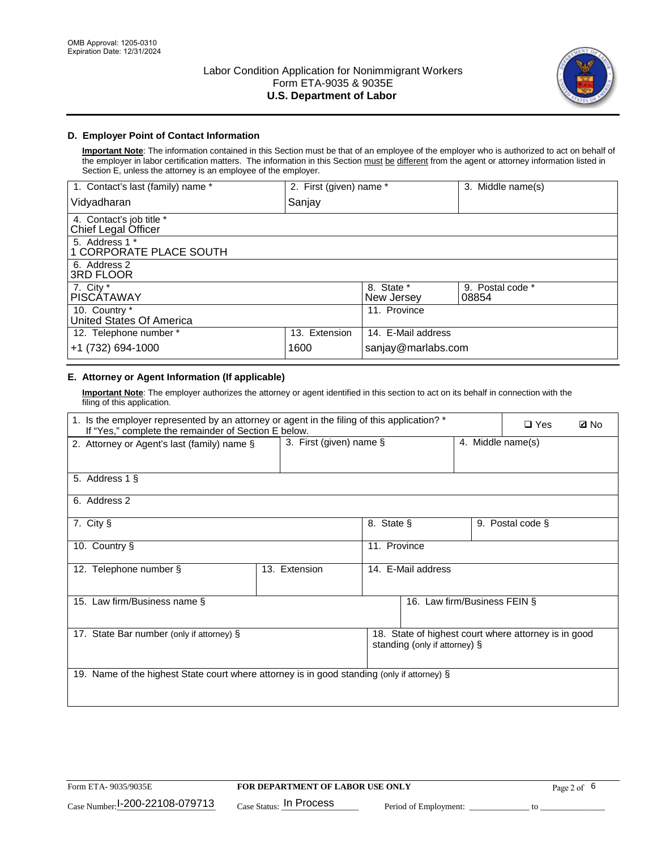

### **D. Employer Point of Contact Information**

**Important Note**: The information contained in this Section must be that of an employee of the employer who is authorized to act on behalf of the employer in labor certification matters. The information in this Section must be different from the agent or attorney information listed in Section E, unless the attorney is an employee of the employer.

| 1. Contact's last (family) name *               | 2. First (given) name * |                          | 3. Middle name(s)         |
|-------------------------------------------------|-------------------------|--------------------------|---------------------------|
| Vidyadharan                                     | Sanjay                  |                          |                           |
| 4. Contact's job title *<br>Chief Legal Officer |                         |                          |                           |
| 5. Address 1 *<br>1 CORPORATE PLACE SOUTH       |                         |                          |                           |
| 6. Address 2<br><b>3RD FLOOR</b>                |                         |                          |                           |
| 7. City *<br><b>PISCÁTAWAY</b>                  |                         | 8. State *<br>New Jersey | 9. Postal code *<br>08854 |
| 10. Country *<br>United States Of America       |                         | 11. Province             |                           |
| 12. Telephone number *                          | 13. Extension           | 14. E-Mail address       |                           |
| +1 (732) 694-1000                               | 1600                    | sanjay@marlabs.com       |                           |

## **E. Attorney or Agent Information (If applicable)**

**Important Note**: The employer authorizes the attorney or agent identified in this section to act on its behalf in connection with the filing of this application.

| 1. Is the employer represented by an attorney or agent in the filing of this application? *<br>If "Yes," complete the remainder of Section E below. |                         |              |                               |                   | $\square$ Yes                                        | <b>ØNo</b> |
|-----------------------------------------------------------------------------------------------------------------------------------------------------|-------------------------|--------------|-------------------------------|-------------------|------------------------------------------------------|------------|
| 2. Attorney or Agent's last (family) name §                                                                                                         | 3. First (given) name § |              |                               | 4. Middle name(s) |                                                      |            |
| 5. Address 1 §                                                                                                                                      |                         |              |                               |                   |                                                      |            |
| 6. Address 2                                                                                                                                        |                         |              |                               |                   |                                                      |            |
| 7. City §                                                                                                                                           |                         | 8. State §   |                               |                   | 9. Postal code §                                     |            |
| 10. Country §                                                                                                                                       |                         | 11. Province |                               |                   |                                                      |            |
| 12. Telephone number §                                                                                                                              | 13. Extension           |              | 14. E-Mail address            |                   |                                                      |            |
| 15. Law firm/Business name §                                                                                                                        |                         |              | 16. Law firm/Business FEIN §  |                   |                                                      |            |
| 17. State Bar number (only if attorney) §                                                                                                           |                         |              | standing (only if attorney) § |                   | 18. State of highest court where attorney is in good |            |
| 19. Name of the highest State court where attorney is in good standing (only if attorney) §                                                         |                         |              |                               |                   |                                                      |            |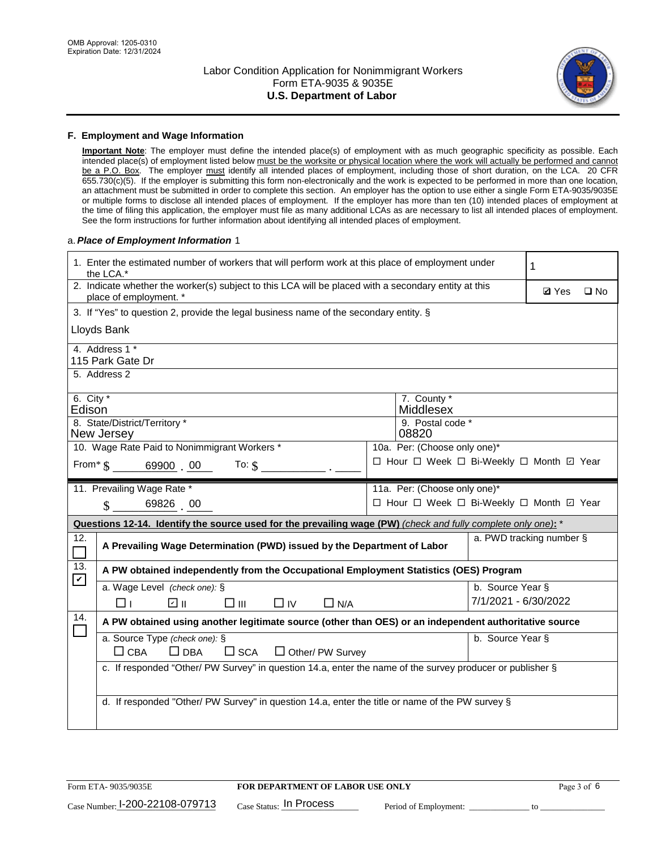

#### **F. Employment and Wage Information**

**Important Note**: The employer must define the intended place(s) of employment with as much geographic specificity as possible. Each intended place(s) of employment listed below must be the worksite or physical location where the work will actually be performed and cannot be a P.O. Box. The employer must identify all intended places of employment, including those of short duration, on the LCA. 20 CFR 655.730(c)(5). If the employer is submitting this form non-electronically and the work is expected to be performed in more than one location, an attachment must be submitted in order to complete this section. An employer has the option to use either a single Form ETA-9035/9035E or multiple forms to disclose all intended places of employment. If the employer has more than ten (10) intended places of employment at the time of filing this application, the employer must file as many additional LCAs as are necessary to list all intended places of employment. See the form instructions for further information about identifying all intended places of employment.

#### a.*Place of Employment Information* 1

|                                                                              | 1. Enter the estimated number of workers that will perform work at this place of employment under<br>the LCA.*                 |  | 1                                        |                      |                          |              |  |  |
|------------------------------------------------------------------------------|--------------------------------------------------------------------------------------------------------------------------------|--|------------------------------------------|----------------------|--------------------------|--------------|--|--|
|                                                                              | 2. Indicate whether the worker(s) subject to this LCA will be placed with a secondary entity at this<br>place of employment. * |  |                                          |                      | <b>Ø</b> Yes             | $\square$ No |  |  |
|                                                                              | 3. If "Yes" to question 2, provide the legal business name of the secondary entity. §                                          |  |                                          |                      |                          |              |  |  |
|                                                                              | Lloyds Bank                                                                                                                    |  |                                          |                      |                          |              |  |  |
|                                                                              | 4. Address 1 *<br>115 Park Gate Dr                                                                                             |  |                                          |                      |                          |              |  |  |
|                                                                              | 5. Address 2                                                                                                                   |  |                                          |                      |                          |              |  |  |
|                                                                              | 6. City *<br>7. County *<br>Edison<br>Middlesex                                                                                |  |                                          |                      |                          |              |  |  |
|                                                                              | 8. State/District/Territory *<br>New Jersey                                                                                    |  | 9. Postal code *<br>08820                |                      |                          |              |  |  |
| 10. Wage Rate Paid to Nonimmigrant Workers *<br>10a. Per: (Choose only one)* |                                                                                                                                |  |                                          |                      |                          |              |  |  |
|                                                                              | □ Hour □ Week □ Bi-Weekly □ Month 回 Year<br>From * \$ 69900 00<br>To: $$$                                                      |  |                                          |                      |                          |              |  |  |
|                                                                              | 11. Prevailing Wage Rate *<br>11a. Per: (Choose only one)*                                                                     |  |                                          |                      |                          |              |  |  |
|                                                                              | 69826 00<br>$\mathbf{\hat{S}}$                                                                                                 |  | □ Hour □ Week □ Bi-Weekly □ Month 回 Year |                      |                          |              |  |  |
|                                                                              | Questions 12-14. Identify the source used for the prevailing wage (PW) (check and fully complete only one): *                  |  |                                          |                      |                          |              |  |  |
| 12.                                                                          | A Prevailing Wage Determination (PWD) issued by the Department of Labor                                                        |  |                                          |                      | a. PWD tracking number § |              |  |  |
| 13.                                                                          | A PW obtained independently from the Occupational Employment Statistics (OES) Program                                          |  |                                          |                      |                          |              |  |  |
| $\blacktriangledown$                                                         | a. Wage Level (check one): §                                                                                                   |  |                                          | b. Source Year §     |                          |              |  |  |
|                                                                              | ☑ ॥<br>$\square$ $\square$<br>$\Box$ IV<br>Пт<br>$\Box$ N/A                                                                    |  |                                          | 7/1/2021 - 6/30/2022 |                          |              |  |  |
| 14.                                                                          | A PW obtained using another legitimate source (other than OES) or an independent authoritative source                          |  |                                          |                      |                          |              |  |  |
|                                                                              | a. Source Type (check one): §<br>$\Box$ CBA<br>$\Box$ DBA<br>$\Box$ SCA<br>$\Box$ Other/ PW Survey                             |  |                                          | b. Source Year §     |                          |              |  |  |
|                                                                              | c. If responded "Other/ PW Survey" in question 14.a, enter the name of the survey producer or publisher §                      |  |                                          |                      |                          |              |  |  |
|                                                                              | d. If responded "Other/ PW Survey" in question 14.a, enter the title or name of the PW survey §                                |  |                                          |                      |                          |              |  |  |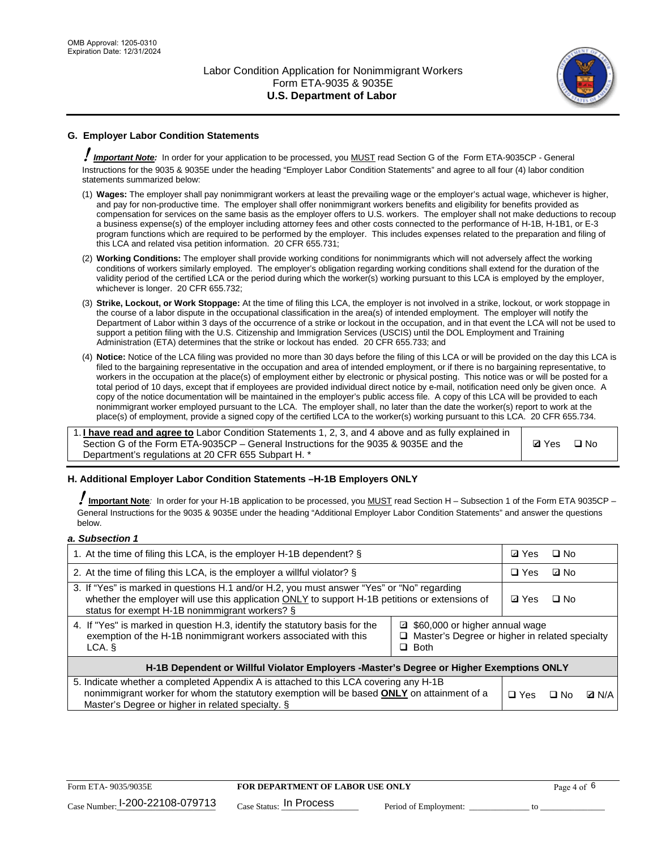

### **G. Employer Labor Condition Statements**

! *Important Note:* In order for your application to be processed, you MUST read Section G of the Form ETA-9035CP - General Instructions for the 9035 & 9035E under the heading "Employer Labor Condition Statements" and agree to all four (4) labor condition statements summarized below:

- (1) **Wages:** The employer shall pay nonimmigrant workers at least the prevailing wage or the employer's actual wage, whichever is higher, and pay for non-productive time. The employer shall offer nonimmigrant workers benefits and eligibility for benefits provided as compensation for services on the same basis as the employer offers to U.S. workers. The employer shall not make deductions to recoup a business expense(s) of the employer including attorney fees and other costs connected to the performance of H-1B, H-1B1, or E-3 program functions which are required to be performed by the employer. This includes expenses related to the preparation and filing of this LCA and related visa petition information. 20 CFR 655.731;
- (2) **Working Conditions:** The employer shall provide working conditions for nonimmigrants which will not adversely affect the working conditions of workers similarly employed. The employer's obligation regarding working conditions shall extend for the duration of the validity period of the certified LCA or the period during which the worker(s) working pursuant to this LCA is employed by the employer, whichever is longer. 20 CFR 655.732;
- (3) **Strike, Lockout, or Work Stoppage:** At the time of filing this LCA, the employer is not involved in a strike, lockout, or work stoppage in the course of a labor dispute in the occupational classification in the area(s) of intended employment. The employer will notify the Department of Labor within 3 days of the occurrence of a strike or lockout in the occupation, and in that event the LCA will not be used to support a petition filing with the U.S. Citizenship and Immigration Services (USCIS) until the DOL Employment and Training Administration (ETA) determines that the strike or lockout has ended. 20 CFR 655.733; and
- (4) **Notice:** Notice of the LCA filing was provided no more than 30 days before the filing of this LCA or will be provided on the day this LCA is filed to the bargaining representative in the occupation and area of intended employment, or if there is no bargaining representative, to workers in the occupation at the place(s) of employment either by electronic or physical posting. This notice was or will be posted for a total period of 10 days, except that if employees are provided individual direct notice by e-mail, notification need only be given once. A copy of the notice documentation will be maintained in the employer's public access file. A copy of this LCA will be provided to each nonimmigrant worker employed pursuant to the LCA. The employer shall, no later than the date the worker(s) report to work at the place(s) of employment, provide a signed copy of the certified LCA to the worker(s) working pursuant to this LCA. 20 CFR 655.734.

1. **I have read and agree to** Labor Condition Statements 1, 2, 3, and 4 above and as fully explained in Section G of the Form ETA-9035CP – General Instructions for the 9035 & 9035E and the Department's regulations at 20 CFR 655 Subpart H. \*

**Ø**Yes ロNo

#### **H. Additional Employer Labor Condition Statements –H-1B Employers ONLY**

!**Important Note***:* In order for your H-1B application to be processed, you MUST read Section H – Subsection 1 of the Form ETA 9035CP – General Instructions for the 9035 & 9035E under the heading "Additional Employer Labor Condition Statements" and answer the questions below.

#### *a. Subsection 1*

| 1. At the time of filing this LCA, is the employer H-1B dependent? §                                                                                                                                                                                            |            | ⊡ Yes | $\square$ No |  |  |
|-----------------------------------------------------------------------------------------------------------------------------------------------------------------------------------------------------------------------------------------------------------------|------------|-------|--------------|--|--|
| 2. At the time of filing this LCA, is the employer a willful violator? $\S$                                                                                                                                                                                     |            |       | ⊡ No         |  |  |
| 3. If "Yes" is marked in questions H.1 and/or H.2, you must answer "Yes" or "No" regarding<br>whether the employer will use this application ONLY to support H-1B petitions or extensions of<br>status for exempt H-1B nonimmigrant workers? §                  |            |       | $\Box$ No    |  |  |
| 4. If "Yes" is marked in question H.3, identify the statutory basis for the<br>■ \$60,000 or higher annual wage<br>exemption of the H-1B nonimmigrant workers associated with this<br>□ Master's Degree or higher in related specialty<br>$\Box$ Both<br>LCA. § |            |       |              |  |  |
| H-1B Dependent or Willful Violator Employers -Master's Degree or Higher Exemptions ONLY                                                                                                                                                                         |            |       |              |  |  |
| 5. Indicate whether a completed Appendix A is attached to this LCA covering any H-1B<br>nonimmigrant worker for whom the statutory exemption will be based <b>ONLY</b> on attainment of a<br>Master's Degree or higher in related specialty. §                  | $\Box$ Yes | ⊡ No  | <b>Q</b> N/A |  |  |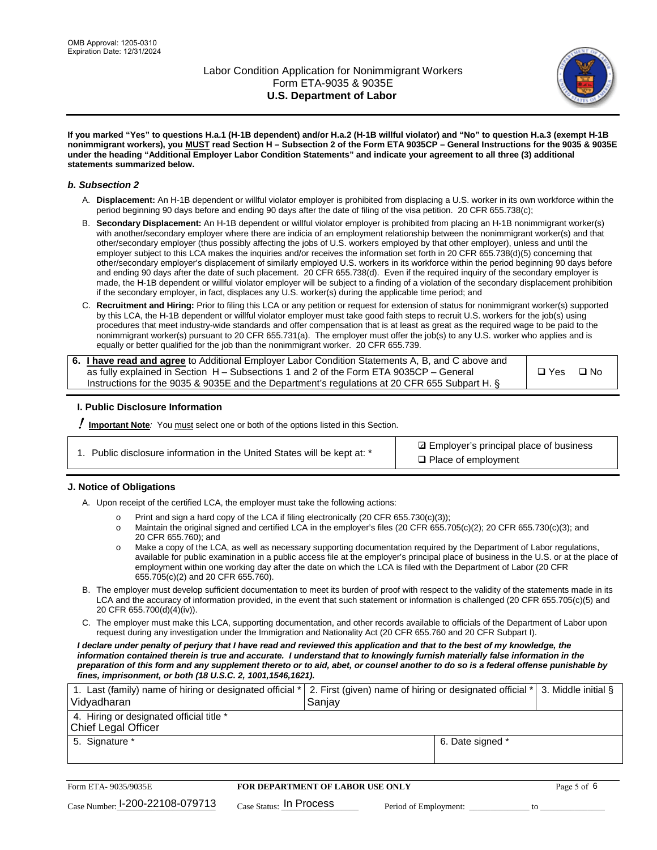

**If you marked "Yes" to questions H.a.1 (H-1B dependent) and/or H.a.2 (H-1B willful violator) and "No" to question H.a.3 (exempt H-1B nonimmigrant workers), you MUST read Section H – Subsection 2 of the Form ETA 9035CP – General Instructions for the 9035 & 9035E under the heading "Additional Employer Labor Condition Statements" and indicate your agreement to all three (3) additional statements summarized below.**

#### *b. Subsection 2*

- A. **Displacement:** An H-1B dependent or willful violator employer is prohibited from displacing a U.S. worker in its own workforce within the period beginning 90 days before and ending 90 days after the date of filing of the visa petition. 20 CFR 655.738(c);
- B. **Secondary Displacement:** An H-1B dependent or willful violator employer is prohibited from placing an H-1B nonimmigrant worker(s) with another/secondary employer where there are indicia of an employment relationship between the nonimmigrant worker(s) and that other/secondary employer (thus possibly affecting the jobs of U.S. workers employed by that other employer), unless and until the employer subject to this LCA makes the inquiries and/or receives the information set forth in 20 CFR 655.738(d)(5) concerning that other/secondary employer's displacement of similarly employed U.S. workers in its workforce within the period beginning 90 days before and ending 90 days after the date of such placement. 20 CFR 655.738(d). Even if the required inquiry of the secondary employer is made, the H-1B dependent or willful violator employer will be subject to a finding of a violation of the secondary displacement prohibition if the secondary employer, in fact, displaces any U.S. worker(s) during the applicable time period; and
- C. **Recruitment and Hiring:** Prior to filing this LCA or any petition or request for extension of status for nonimmigrant worker(s) supported by this LCA, the H-1B dependent or willful violator employer must take good faith steps to recruit U.S. workers for the job(s) using procedures that meet industry-wide standards and offer compensation that is at least as great as the required wage to be paid to the nonimmigrant worker(s) pursuant to 20 CFR 655.731(a). The employer must offer the job(s) to any U.S. worker who applies and is equally or better qualified for the job than the nonimmigrant worker. 20 CFR 655.739.

| 6. I have read and agree to Additional Employer Labor Condition Statements A, B, and C above and |       |           |
|--------------------------------------------------------------------------------------------------|-------|-----------|
| as fully explained in Section H – Subsections 1 and 2 of the Form ETA 9035CP – General           | □ Yes | $\Box$ No |
| Instructions for the 9035 & 9035E and the Department's regulations at 20 CFR 655 Subpart H. §    |       |           |

#### **I. Public Disclosure Information**

! **Important Note***:* You must select one or both of the options listed in this Section.

| 1. Public disclosure information in the United States will be kept at: * |  |  |  |  |  |  |  |
|--------------------------------------------------------------------------|--|--|--|--|--|--|--|
|--------------------------------------------------------------------------|--|--|--|--|--|--|--|

**sqrt** Employer's principal place of business □ Place of employment

#### **J. Notice of Obligations**

A. Upon receipt of the certified LCA, the employer must take the following actions:

- o Print and sign a hard copy of the LCA if filing electronically (20 CFR 655.730(c)(3));<br>
Maintain the original signed and certified LCA in the employer's files (20 CFR 655.7
- Maintain the original signed and certified LCA in the employer's files (20 CFR 655.705(c)(2); 20 CFR 655.730(c)(3); and 20 CFR 655.760); and
- o Make a copy of the LCA, as well as necessary supporting documentation required by the Department of Labor regulations, available for public examination in a public access file at the employer's principal place of business in the U.S. or at the place of employment within one working day after the date on which the LCA is filed with the Department of Labor (20 CFR 655.705(c)(2) and 20 CFR 655.760).
- B. The employer must develop sufficient documentation to meet its burden of proof with respect to the validity of the statements made in its LCA and the accuracy of information provided, in the event that such statement or information is challenged (20 CFR 655.705(c)(5) and 20 CFR 655.700(d)(4)(iv)).
- C. The employer must make this LCA, supporting documentation, and other records available to officials of the Department of Labor upon request during any investigation under the Immigration and Nationality Act (20 CFR 655.760 and 20 CFR Subpart I).

*I declare under penalty of perjury that I have read and reviewed this application and that to the best of my knowledge, the*  information contained therein is true and accurate. I understand that to knowingly furnish materially false information in the *preparation of this form and any supplement thereto or to aid, abet, or counsel another to do so is a federal offense punishable by fines, imprisonment, or both (18 U.S.C. 2, 1001,1546,1621).*

| 1. Last (family) name of hiring or designated official *   2. First (given) name of hiring or designated official *   3. Middle initial §<br>Vidyadharan | Saniav           |  |
|----------------------------------------------------------------------------------------------------------------------------------------------------------|------------------|--|
| 4. Hiring or designated official title *<br>Chief Legal Officer                                                                                          |                  |  |
| 5. Signature *                                                                                                                                           | 6. Date signed * |  |

| Form ETA-9035/9035E                         | <b>FOR DEPARTMENT OF LABOR USE ONLY</b> |                       | Page 5 of 6 |
|---------------------------------------------|-----------------------------------------|-----------------------|-------------|
| $_{\text{Case Number:}}$ I-200-22108-079713 | $_{\rm Case~S status:}$ In Process      | Period of Employment: |             |